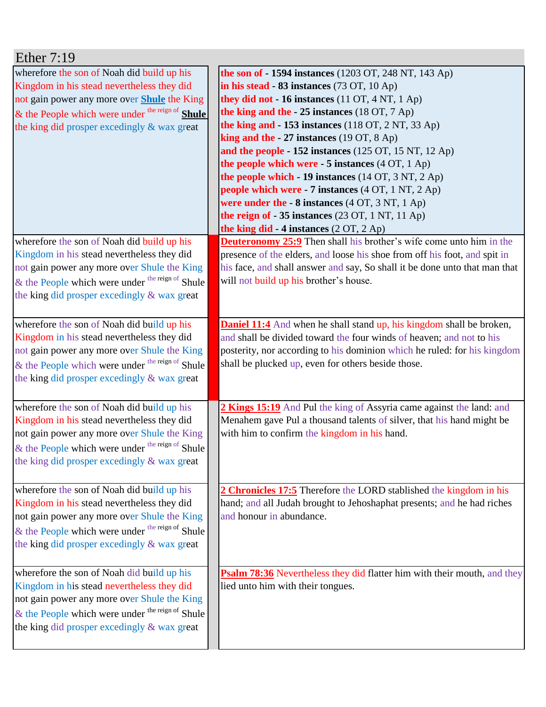| Ether $7:19$                                                                                                                                                                                                                                             |                                                                                                                                                                                                                                                                                                                                                                                                                                                                                                                                                                                                                                                                                                                                            |
|----------------------------------------------------------------------------------------------------------------------------------------------------------------------------------------------------------------------------------------------------------|--------------------------------------------------------------------------------------------------------------------------------------------------------------------------------------------------------------------------------------------------------------------------------------------------------------------------------------------------------------------------------------------------------------------------------------------------------------------------------------------------------------------------------------------------------------------------------------------------------------------------------------------------------------------------------------------------------------------------------------------|
| wherefore the son of Noah did build up his<br>Kingdom in his stead nevertheless they did<br>not gain power any more over <b>Shule</b> the King<br>& the People which were under the reign of Shule<br>the king did prosper excedingly & wax great        | <b>the son of - 1594 instances</b> (1203 OT, 248 NT, 143 Ap)<br>in his stead $-83$ instances (73 OT, 10 Ap)<br>they did not - 16 instances (11 OT, 4 NT, 1 Ap)<br>the king and the $-25$ instances (18 OT, 7 Ap)<br>the king and $-153$ instances (118 OT, 2 NT, 33 Ap)<br>king and the $-27$ instances (19 OT, 8 Ap)<br>and the people - $152$ instances ( $125$ OT, $15$ NT, $12$ Ap)<br>the people which were $-5$ instances $(4 \text{ OT}, 1 \text{ Ap})$<br>the people which - 19 instances (14 OT, 3 NT, 2 Ap)<br><b>people which were - 7 instances</b> (4 OT, 1 NT, 2 Ap)<br>were under the $-8$ instances $(4 OT, 3 NT, 1 Ap)$<br>the reign of $-35$ instances (23 OT, 1 NT, 11 Ap)<br>the king did - 4 instances $(2 OT, 2 Ap)$ |
| wherefore the son of Noah did build up his<br>Kingdom in his stead nevertheless they did<br>not gain power any more over Shule the King<br>$\&$ the People which were under <sup>the reign of</sup> Shule<br>the king did prosper excedingly & wax great | <b>Deuteronomy 25:9</b> Then shall his brother's wife come unto him in the<br>presence of the elders, and loose his shoe from off his foot, and spit in<br>his face, and shall answer and say, So shall it be done unto that man that<br>will not build up his brother's house.                                                                                                                                                                                                                                                                                                                                                                                                                                                            |
| wherefore the son of Noah did build up his<br>Kingdom in his stead nevertheless they did<br>not gain power any more over Shule the King<br>& the People which were under the reign of Shule<br>the king did prosper excedingly & wax great               | <b>Daniel 11:4</b> And when he shall stand up, his kingdom shall be broken,<br>and shall be divided toward the four winds of heaven; and not to his<br>posterity, nor according to his dominion which he ruled: for his kingdom<br>shall be plucked up, even for others beside those.                                                                                                                                                                                                                                                                                                                                                                                                                                                      |
| wherefore the son of Noah did build up his<br>Kingdom in his stead nevertheless they did<br>not gain power any more over Shule the King<br>& the People which were under <sup>the reign of</sup> Shule<br>the king did prosper excedingly & wax great    | 2 Kings 15:19 And Pul the king of Assyria came against the land: and<br>Menahem gave Pul a thousand talents of silver, that his hand might be<br>with him to confirm the kingdom in his hand.                                                                                                                                                                                                                                                                                                                                                                                                                                                                                                                                              |
| wherefore the son of Noah did build up his<br>Kingdom in his stead nevertheless they did<br>not gain power any more over Shule the King<br>& the People which were under the reign of Shule<br>the king did prosper excedingly & wax great               | 2 Chronicles 17:5 Therefore the LORD stablished the kingdom in his<br>hand; and all Judah brought to Jehoshaphat presents; and he had riches<br>and honour in abundance.                                                                                                                                                                                                                                                                                                                                                                                                                                                                                                                                                                   |
| wherefore the son of Noah did build up his<br>Kingdom in his stead nevertheless they did<br>not gain power any more over Shule the King<br>& the People which were under the reign of Shule<br>the king did prosper excedingly & wax great               | Psalm 78:36 Nevertheless they did flatter him with their mouth, and they<br>lied unto him with their tongues.                                                                                                                                                                                                                                                                                                                                                                                                                                                                                                                                                                                                                              |